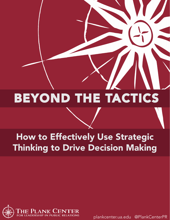# BEYOND THE TACTICS

# How to Effectively Use Strategic Thinking to Drive Decision Making

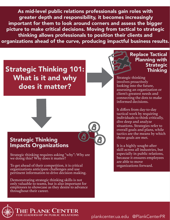As mid-level public relations professionals gain roles with greater depth and responsibility, it becomes increasingly important for them to look around corners and assess the bigger picture to make critical decisions. Moving from tactical to strategic thinking allows professionals to position their clients and organizations ahead of the curve, producing impactful business results.

### Strategic Thinking 101: What is it and why does it matter?



#### Strategic Thinking Impacts Organizations

Strategic thinking requires asking "why": Why are we doing this? Why does it matter?

To get ahead of their competition, it is critical organizations anticipate challenges and use pertinent information to drive decision making.

Demonstrating strategic thinking skills is not only valuable to teams, but is also important for employees to showcase as they desire to advance throughout their career.



Strategic thinking involves proactively looking into the future, assessing an organization or client's greatest needs and connecting the dots to make informed decisions.

It differs from day-to-day tactical work by requiring individuals to think critically, dive deep and analyze situations. Strategies refer to overall goals and plans, while tactics are the means by which those goals are met.

It is a highly sought-after skill across all industries, but especially in public relations, because it ensures employees are able to move organizations forward.



PLANK CEN FOR LEADERSHIP IN PUBLIC RELATIONS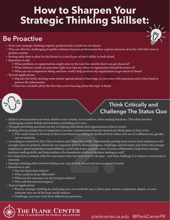# **How to Sharpen Your Strategic Thinking Skillset:**

### **Be Proactive**



- At its core, strategic thinking requires professionals to look into the future.
- hals to look into the future.<br>
s because professionals face copious an<br>
ial part of one's ability to look ahead.<br>
se in the next few months that I can get<br>
ow that my client or organization shoule<br>
could I help position my • This can often be challenging in public relations because professionals face copious amounts of work, with little time to produce results.
- Setting aside time to plan for the future is a crucial part of one's ability to look ahead.
- Questions to ask:
	- ◊ What problems or opportunities might arise in the next few months that I can get ahead of?
	- ◊ What industry trends are prevalent right now that my client or organization should be aware of?
	- ◊ What are our competitors doing and how could I help position my organization to get ahead of them?
- Tactical applications:
	- ◊ Dig into the brief, meeting notes and/or agenda ahead of meetings, so you come with questions and a clear head to process the information.
	- ◊ Don't let a kickoff call be the first time you're hearing about the topic at hand.



#### **Think Critically and Challenge The Status Quo**

- Skilled communicators are never afraid to raise a hand, or an eyebrow, when making decisions. This often involves challenging current beliefs and mindsets, including one's own.
- Thought-provoking questions are key in helping individuals and organizations achieve results.
- Seeking diverse perspectives is important to ensure communicators haven't missed any blind spots in their work.
	- ◊ This could come in the form of (but is not limited to) asking for feedback from others who are of a different sex, gender, race or seniority.
- imited to) asking for feedback from oth<br>d Diana Martinelli, "Intentionally pairi:<br>rly meet to discuss progress, challenges<br>vuld help foster a greater sense of team o<br>vundation of ethical decision making as<br>hat has been don • According to research by Drs. Elina Erzikova and Diana Martinelli, "Intentionally pairing more senior-level employees with younger ones on projects, where the two regularly meet to discuss progress, challenges and decisions and where the younger employee is given leadership responsibilities, could help foster a greater sense of team collaboration, help hone strategic decision-making skills, and help reinforce the foundation of ethical decision making as well."
- It is important to remain reflective and assess what has been done in the past and then challenge it to improve your project's outcome.
- Strategic thinking often involves finding new ways to look ahead and move projects forward.
- Questions to ask:
	- ◊ Has this been done before?
	- ◊ What could be done differently?
	- ◊ What are the outcomes we are trying to achieve?
	- ◊ Who will this decision impact?
- Tactical applications:
	- ◊ Practice strategic thinking by analyzing your own work the way a client, peer, mentor, competitor, skeptic, or even someone very out of the loop would analyze.
	- ◊ Challenge your own work from different perspectives.